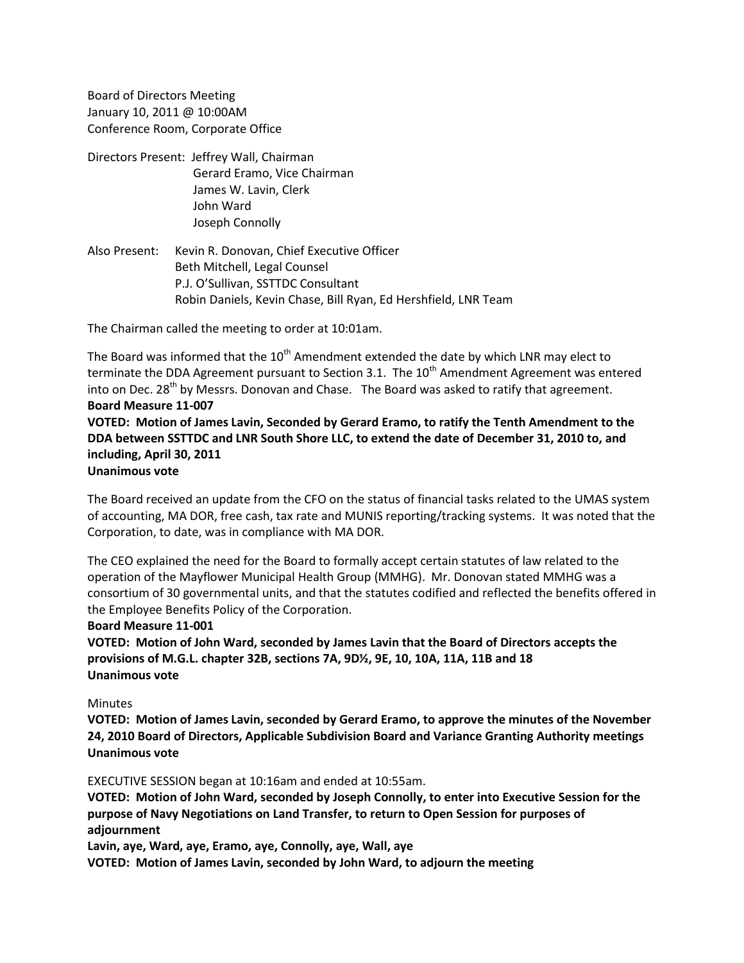Board of Directors Meeting January 10, 2011 @ 10:00AM Conference Room, Corporate Office

- Directors Present: Jeffrey Wall, Chairman Gerard Eramo, Vice Chairman James W. Lavin, Clerk John Ward Joseph Connolly
- Also Present: Kevin R. Donovan, Chief Executive Officer Beth Mitchell, Legal Counsel P.J. O'Sullivan, SSTTDC Consultant Robin Daniels, Kevin Chase, Bill Ryan, Ed Hershfield, LNR Team

The Chairman called the meeting to order at 10:01am.

The Board was informed that the  $10<sup>th</sup>$  Amendment extended the date by which LNR may elect to terminate the DDA Agreement pursuant to Section 3.1. The  $10<sup>th</sup>$  Amendment Agreement was entered into on Dec.  $28<sup>th</sup>$  by Messrs. Donovan and Chase. The Board was asked to ratify that agreement. **Board Measure 11-007 VOTED: Motion of James Lavin, Seconded by Gerard Eramo, to ratify the Tenth Amendment to the** 

**DDA between SSTTDC and LNR South Shore LLC, to extend the date of December 31, 2010 to, and including, April 30, 2011**

## **Unanimous vote**

The Board received an update from the CFO on the status of financial tasks related to the UMAS system of accounting, MA DOR, free cash, tax rate and MUNIS reporting/tracking systems. It was noted that the Corporation, to date, was in compliance with MA DOR.

The CEO explained the need for the Board to formally accept certain statutes of law related to the operation of the Mayflower Municipal Health Group (MMHG). Mr. Donovan stated MMHG was a consortium of 30 governmental units, and that the statutes codified and reflected the benefits offered in the Employee Benefits Policy of the Corporation.

**Board Measure 11-001**

**VOTED: Motion of John Ward, seconded by James Lavin that the Board of Directors accepts the provisions of M.G.L. chapter 32B, sections 7A, 9D½, 9E, 10, 10A, 11A, 11B and 18 Unanimous vote**

## **Minutes**

**VOTED: Motion of James Lavin, seconded by Gerard Eramo, to approve the minutes of the November 24, 2010 Board of Directors, Applicable Subdivision Board and Variance Granting Authority meetings Unanimous vote**

EXECUTIVE SESSION began at 10:16am and ended at 10:55am.

**VOTED: Motion of John Ward, seconded by Joseph Connolly, to enter into Executive Session for the purpose of Navy Negotiations on Land Transfer, to return to Open Session for purposes of adjournment**

**Lavin, aye, Ward, aye, Eramo, aye, Connolly, aye, Wall, aye**

**VOTED: Motion of James Lavin, seconded by John Ward, to adjourn the meeting**